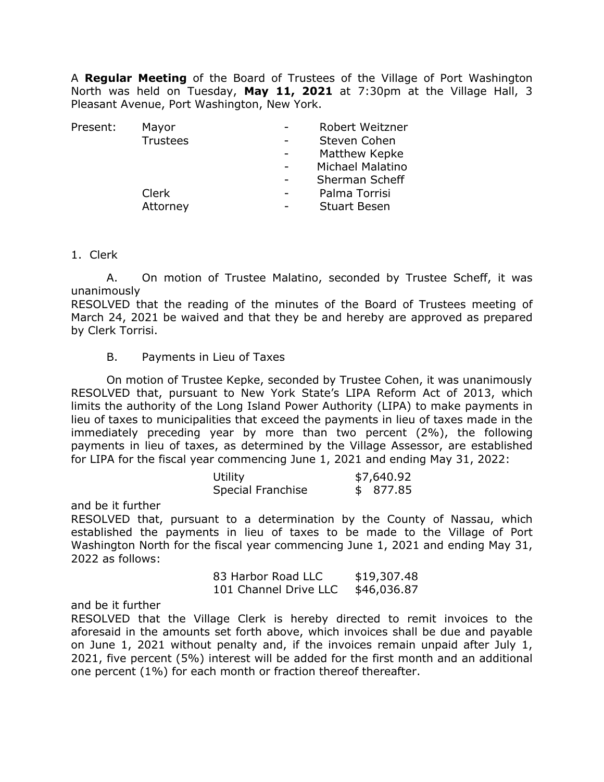A **Regular Meeting** of the Board of Trustees of the Village of Port Washington North was held on Tuesday, **May 11, 2021** at 7:30pm at the Village Hall, 3 Pleasant Avenue, Port Washington, New York.

| Mayor           | Robert Weitzner     |
|-----------------|---------------------|
| <b>Trustees</b> | Steven Cohen        |
|                 | Matthew Kepke       |
|                 | Michael Malatino    |
|                 | Sherman Scheff      |
| Clerk           | Palma Torrisi       |
| Attorney        | <b>Stuart Besen</b> |
|                 |                     |

1. Clerk

A. On motion of Trustee Malatino, seconded by Trustee Scheff, it was unanimously

RESOLVED that the reading of the minutes of the Board of Trustees meeting of March 24, 2021 be waived and that they be and hereby are approved as prepared by Clerk Torrisi.

## B. Payments in Lieu of Taxes

On motion of Trustee Kepke, seconded by Trustee Cohen, it was unanimously RESOLVED that, pursuant to New York State's LIPA Reform Act of 2013, which limits the authority of the Long Island Power Authority (LIPA) to make payments in lieu of taxes to municipalities that exceed the payments in lieu of taxes made in the immediately preceding year by more than two percent (2%), the following payments in lieu of taxes, as determined by the Village Assessor, are established for LIPA for the fiscal year commencing June 1, 2021 and ending May 31, 2022:

| Utility                  | \$7,640.92 |
|--------------------------|------------|
| <b>Special Franchise</b> | \$877.85   |

and be it further

RESOLVED that, pursuant to a determination by the County of Nassau, which established the payments in lieu of taxes to be made to the Village of Port Washington North for the fiscal year commencing June 1, 2021 and ending May 31, 2022 as follows:

> 83 Harbor Road LLC \$19,307.48 101 Channel Drive LLC \$46,036.87

and be it further

RESOLVED that the Village Clerk is hereby directed to remit invoices to the aforesaid in the amounts set forth above, which invoices shall be due and payable on June 1, 2021 without penalty and, if the invoices remain unpaid after July 1, 2021, five percent (5%) interest will be added for the first month and an additional one percent (1%) for each month or fraction thereof thereafter.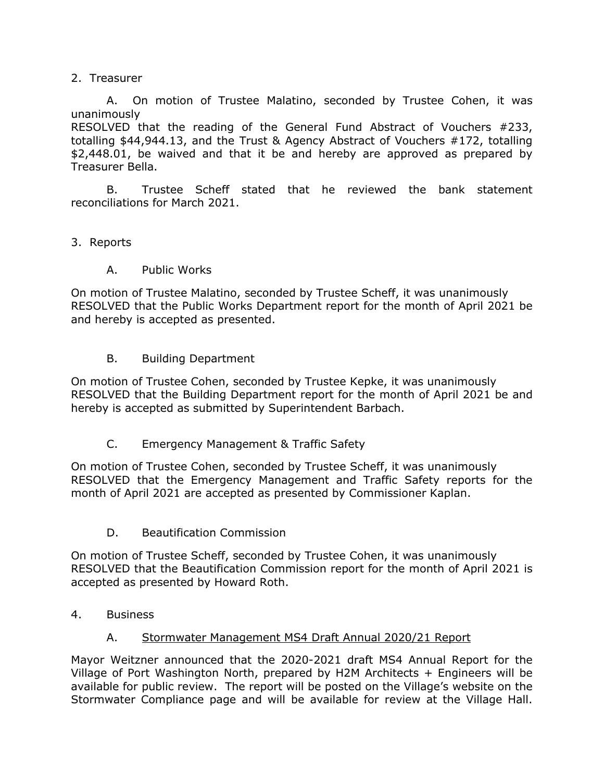# 2. Treasurer

A. On motion of Trustee Malatino, seconded by Trustee Cohen, it was unanimously

RESOLVED that the reading of the General Fund Abstract of Vouchers #233, totalling \$44,944.13, and the Trust & Agency Abstract of Vouchers #172, totalling \$2,448.01, be waived and that it be and hereby are approved as prepared by Treasurer Bella.

B. Trustee Scheff stated that he reviewed the bank statement reconciliations for March 2021.

# 3. Reports

A. Public Works

On motion of Trustee Malatino, seconded by Trustee Scheff, it was unanimously RESOLVED that the Public Works Department report for the month of April 2021 be and hereby is accepted as presented.

B. Building Department

On motion of Trustee Cohen, seconded by Trustee Kepke, it was unanimously RESOLVED that the Building Department report for the month of April 2021 be and hereby is accepted as submitted by Superintendent Barbach.

C. Emergency Management & Traffic Safety

On motion of Trustee Cohen, seconded by Trustee Scheff, it was unanimously RESOLVED that the Emergency Management and Traffic Safety reports for the month of April 2021 are accepted as presented by Commissioner Kaplan.

D. Beautification Commission

On motion of Trustee Scheff, seconded by Trustee Cohen, it was unanimously RESOLVED that the Beautification Commission report for the month of April 2021 is accepted as presented by Howard Roth.

4. Business

# A. Stormwater Management MS4 Draft Annual 2020/21 Report

Mayor Weitzner announced that the 2020-2021 draft MS4 Annual Report for the Village of Port Washington North, prepared by H2M Architects + Engineers will be available for public review. The report will be posted on the Village's website on the Stormwater Compliance page and will be available for review at the Village Hall.